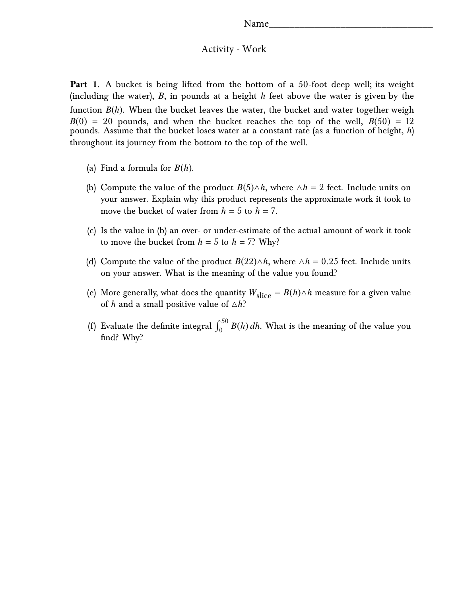## Activity - Work

**Part 1.** A bucket is being lifted from the bottom of a 50-foot deep well; its weight (including the water), *B*, in pounds at a height *h* feet above the water is given by the function *B*(*h*). When the bucket leaves the water, the bucket and water together weigh  $B(0) = 20$  pounds, and when the bucket reaches the top of the well,  $B(50) = 12$ pounds. Assume that the bucket loses water at a constant rate (as a function of height, *h*) throughout its journey from the bottom to the top of the well.

- (a) Find a formula for *B*(*h*).
- (b) Compute the value of the product  $B(5)\triangle h$ , where  $\triangle h = 2$  feet. Include units on your answer. Explain why this product represents the approximate work it took to move the bucket of water from  $h = 5$  to  $h = 7$ .
- (c) Is the value in (b) an over- or under-estimate of the actual amount of work it took to move the bucket from  $h = 5$  to  $h = 7$ ? Why?
- (d) Compute the value of the product  $B(22)\Delta h$ , where  $\Delta h = 0.25$  feet. Include units on your answer. What is the meaning of the value you found?
- (e) More generally, what does the quantity  $W_{\text{slice}} = B(h)\triangle h$  measure for a given value of *h* and a small positive value of  $\triangle h$ ?
- (f) Evaluate the definite integral  $\int_0^{50} B(h) dh$ . What is the meaning of the value you find? Why?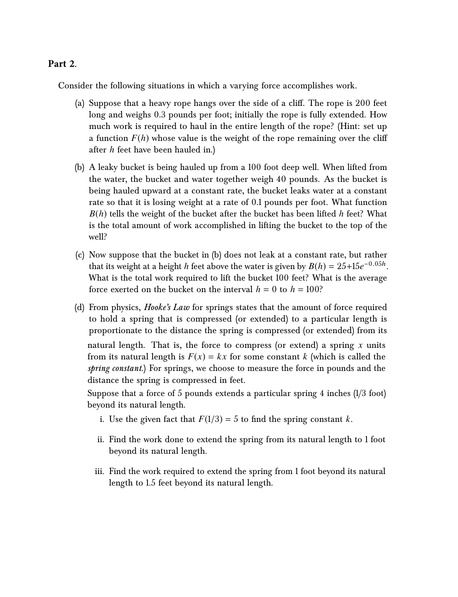## **Part 2.**

Consider the following situations in which a varying force accomplishes work.

- (a) Suppose that a heavy rope hangs over the side of a cliff. The rope is 200 feet long and weighs 0.3 pounds per foot; initially the rope is fully extended. How much work is required to haul in the entire length of the rope? (Hint: set up a function  $F(h)$  whose value is the weight of the rope remaining over the cliff after *h* feet have been hauled in.)
- (b) A leaky bucket is being hauled up from a 100 foot deep well. When lifted from the water, the bucket and water together weigh 40 pounds. As the bucket is being hauled upward at a constant rate, the bucket leaks water at a constant rate so that it is losing weight at a rate of 0.1 pounds per foot. What function *B*(*h*) tells the weight of the bucket after the bucket has been lifted *h* feet? What is the total amount of work accomplished in lifting the bucket to the top of the well?
- (c) Now suppose that the bucket in (b) does not leak at a constant rate, but rather that its weight at a height *h* feet above the water is given by  $B(h) = 25 + 15e^{-0.05h}$ . What is the total work required to lift the bucket 100 feet? What is the average force exerted on the bucket on the interval  $h = 0$  to  $h = 100$ ?
- (d) From physics, *Hooke's Law* for springs states that the amount of force required to hold a spring that is compressed (or extended) to a particular length is proportionate to the distance the spring is compressed (or extended) from its natural length. That is, the force to compress (or extend) a spring *x* units from its natural length is  $F(x) = kx$  for some constant *k* (which is called the *spring constant*.) For springs, we choose to measure the force in pounds and the distance the spring is compressed in feet.

Suppose that a force of 5 pounds extends a particular spring 4 inches (1/3 foot) beyond its natural length.

- i. Use the given fact that  $F(1/3) = 5$  to find the spring constant *k*.
- ii. Find the work done to extend the spring from its natural length to 1 foot beyond its natural length.
- iii. Find the work required to extend the spring from 1 foot beyond its natural length to 1.5 feet beyond its natural length.